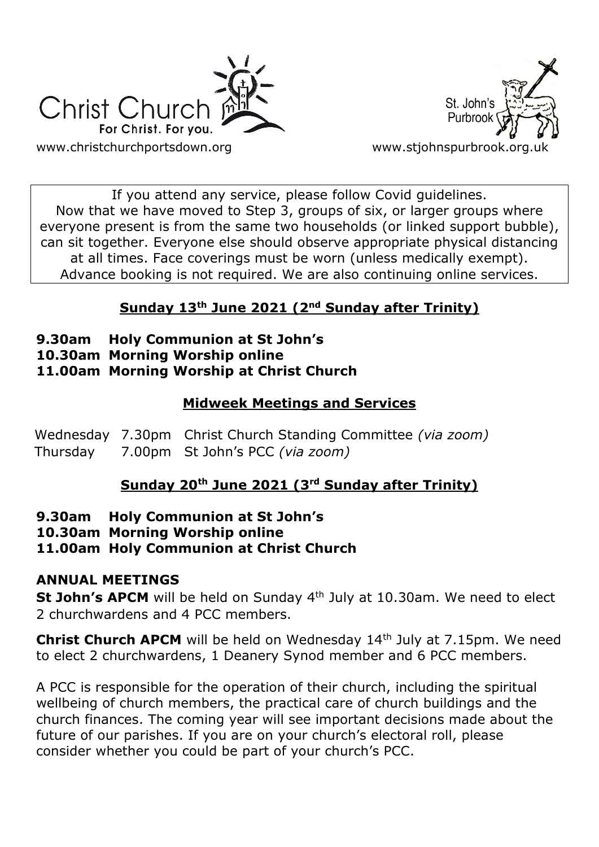



If you attend any service, please follow Covid guidelines. Now that we have moved to Step 3, groups of six, or larger groups where everyone present is from the same two households (or linked support bubble), can sit together. Everyone else should observe appropriate physical distancing at all times. Face coverings must be worn (unless medically exempt). Advance booking is not required. We are also continuing online services.

## **Sunday 13th June 2021 (2nd Sunday after Trinity)**

- **9.30am Holy Communion at St John's**
- **10.30am Morning Worship online**

#### **11.00am Morning Worship at Christ Church**

#### **Midweek Meetings and Services**

Wednesday 7.30pm Christ Church Standing Committee *(via zoom)* Thursday 7.00pm St John's PCC *(via zoom)*

## **Sunday 20th June 2021 (3rd Sunday after Trinity)**

#### **9.30am Holy Communion at St John's**

**10.30am Morning Worship online**

#### **11.00am Holy Communion at Christ Church**

#### **ANNUAL MEETINGS**

**St John's APCM** will be held on Sunday 4<sup>th</sup> July at 10.30am. We need to elect 2 churchwardens and 4 PCC members.

**Christ Church APCM** will be held on Wednesday 14<sup>th</sup> July at 7.15pm. We need to elect 2 churchwardens, 1 Deanery Synod member and 6 PCC members.

A PCC is responsible for the operation of their church, including the spiritual wellbeing of church members, the practical care of church buildings and the church finances. The coming year will see important decisions made about the future of our parishes. If you are on your church's electoral roll, please consider whether you could be part of your church's PCC.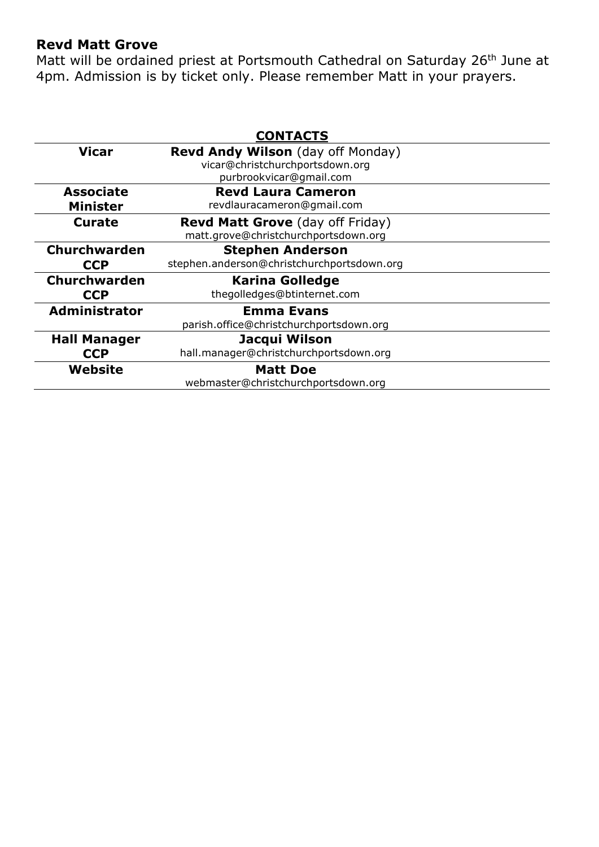#### **Revd Matt Grove**

Matt will be ordained priest at Portsmouth Cathedral on Saturday 26<sup>th</sup> June at 4pm. Admission is by ticket only. Please remember Matt in your prayers.

| <b>CONTACTS</b>      |                                            |
|----------------------|--------------------------------------------|
| <b>Vicar</b>         | <b>Revd Andy Wilson</b> (day off Monday)   |
|                      | vicar@christchurchportsdown.org            |
|                      | purbrookvicar@gmail.com                    |
| <b>Associate</b>     | <b>Revd Laura Cameron</b>                  |
| <b>Minister</b>      | revdlauracameron@gmail.com                 |
| Curate               | <b>Revd Matt Grove</b> (day off Friday)    |
|                      | matt.grove@christchurchportsdown.org       |
| <b>Churchwarden</b>  | <b>Stephen Anderson</b>                    |
| <b>CCP</b>           | stephen.anderson@christchurchportsdown.org |
| Churchwarden         | <b>Karina Golledge</b>                     |
| <b>CCP</b>           | thegolledges@btinternet.com                |
| <b>Administrator</b> | <b>Emma Evans</b>                          |
|                      | parish.office@christchurchportsdown.org    |
| <b>Hall Manager</b>  | Jacqui Wilson                              |
| <b>CCP</b>           | hall.manager@christchurchportsdown.org     |
| Website              | <b>Matt Doe</b>                            |
|                      | webmaster@christchurchportsdown.org        |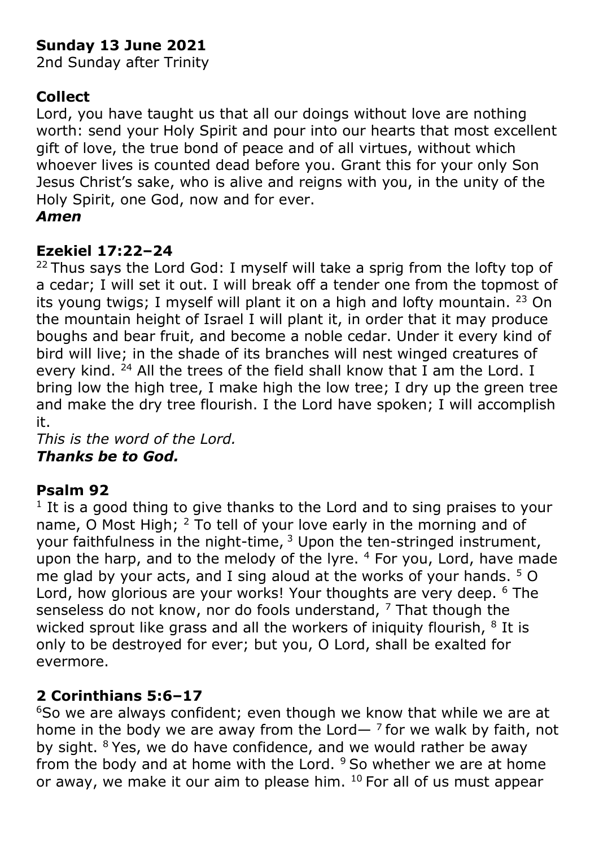# **Sunday 13 June 2021**

2nd Sunday after Trinity

# **Collect**

Lord, you have taught us that all our doings without love are nothing worth: send your Holy Spirit and pour into our hearts that most excellent gift of love, the true bond of peace and of all virtues, without which whoever lives is counted dead before you. Grant this for your only Son Jesus Christ's sake, who is alive and reigns with you, in the unity of the Holy Spirit, one God, now and for ever.

### *Amen*

# **Ezekiel 17:22–24**

<sup>22</sup> Thus says the Lord God: I myself will take a sprig from the lofty top of a cedar; I will set it out. I will break off a tender one from the topmost of its young twigs; I myself will plant it on a high and lofty mountain. <sup>23</sup> On the mountain height of Israel I will plant it, in order that it may produce boughs and bear fruit, and become a noble cedar. Under it every kind of bird will live; in the shade of its branches will nest winged creatures of every kind. <sup>24</sup> All the trees of the field shall know that I am the Lord. I bring low the high tree, I make high the low tree; I dry up the green tree and make the dry tree flourish. I the Lord have spoken; I will accomplish it.

*This is the word of the Lord. Thanks be to God.*

# **Psalm 92**

<sup>1</sup> It is a good thing to give thanks to the Lord and to sing praises to your name, O Most High; <sup>2</sup> To tell of your love early in the morning and of your faithfulness in the night-time, <sup>3</sup> Upon the ten-stringed instrument, upon the harp, and to the melody of the lyre.  $4$  For you, Lord, have made me glad by your acts, and I sing aloud at the works of your hands. <sup>5</sup> O Lord, how glorious are your works! Your thoughts are very deep. <sup>6</sup> The senseless do not know, nor do fools understand,  $<sup>7</sup>$  That though the</sup> wicked sprout like grass and all the workers of iniquity flourish,  $8$  It is only to be destroyed for ever; but you, O Lord, shall be exalted for evermore.

# **2 Corinthians 5:6–17**

<sup>6</sup>So we are always confident; even though we know that while we are at home in the body we are away from the Lord— $<sup>7</sup>$  for we walk by faith, not</sup> by sight. <sup>8</sup>Yes, we do have confidence, and we would rather be away from the body and at home with the Lord.  $9$  So whether we are at home or away, we make it our aim to please him. 10 For all of us must appear